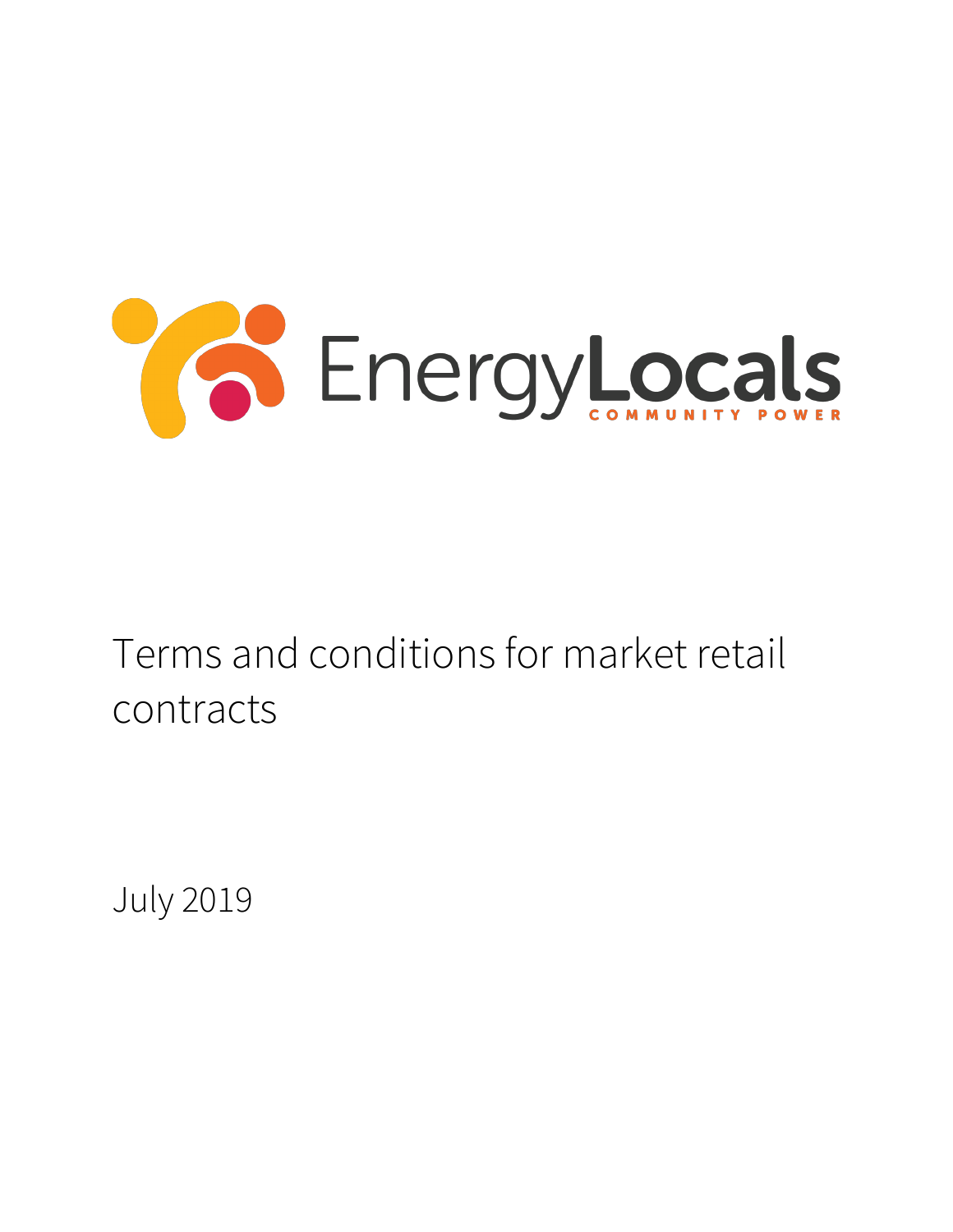

Terms and conditions for market retail contracts

July 2019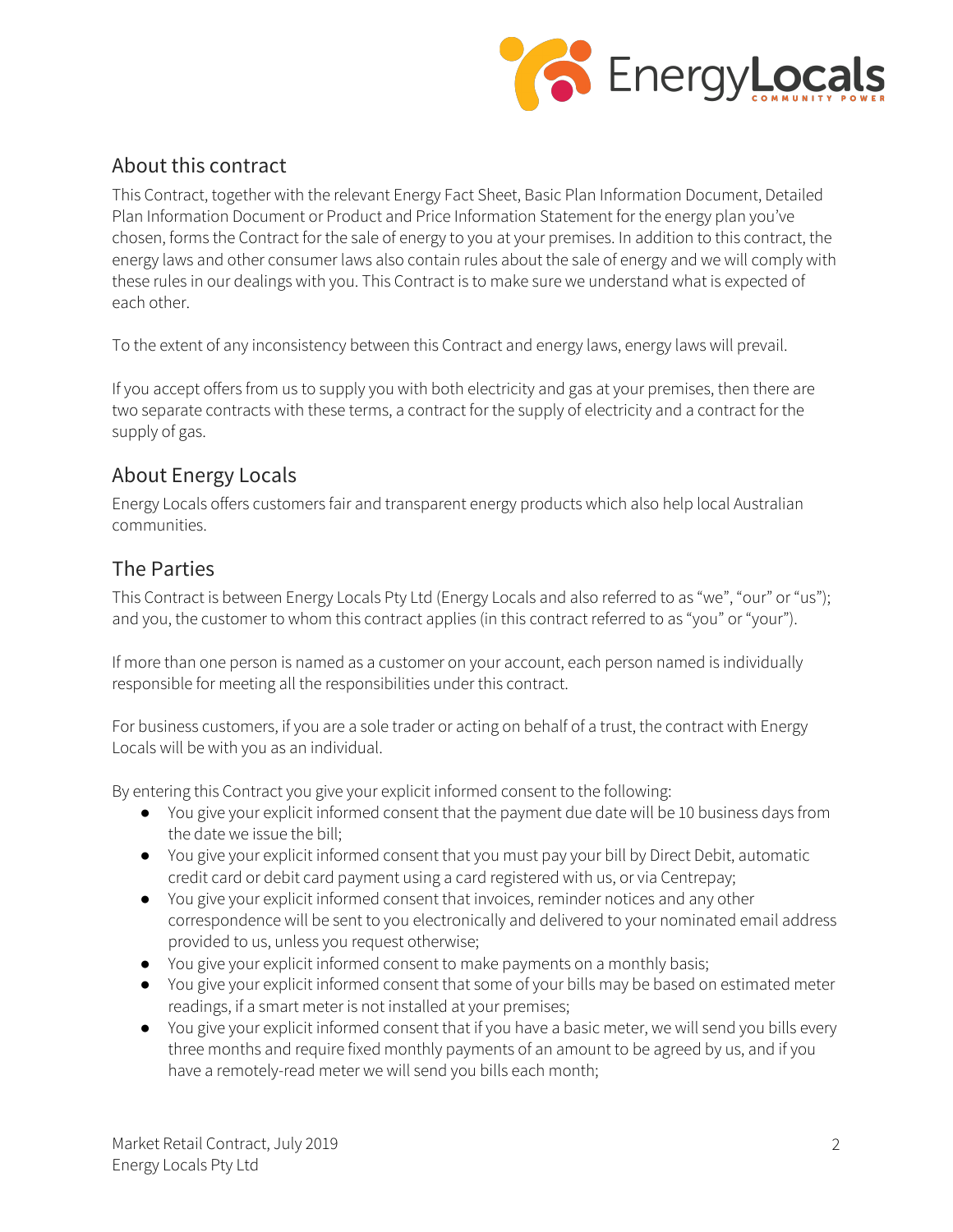

## About this contract

This Contract, together with the relevant Energy Fact Sheet, Basic Plan Information Document, Detailed Plan Information Document or Product and Price Information Statement for the energy plan you've chosen, forms the Contract for the sale of energy to you at your premises. In addition to this contract, the energy laws and other consumer laws also contain rules about the sale of energy and we will comply with these rules in our dealings with you. This Contract is to make sure we understand what is expected of each other.

To the extent of any inconsistency between this Contract and energy laws, energy laws will prevail.

If you accept offers from us to supply you with both electricity and gas at your premises, then there are two separate contracts with these terms, a contract for the supply of electricity and a contract for the supply of gas.

## About Energy Locals

Energy Locals offers customers fair and transparent energy products which also help local Australian communities.

## The Parties

This Contract is between Energy Locals Pty Ltd (Energy Locals and also referred to as "we", "our" or "us"); and you, the customer to whom this contract applies (in this contract referred to as "you" or "your").

If more than one person is named as a customer on your account, each person named is individually responsible for meeting all the responsibilities under this contract.

For business customers, if you are a sole trader or acting on behalf of a trust, the contract with Energy Locals will be with you as an individual.

By entering this Contract you give your explicit informed consent to the following:

- You give your explicit informed consent that the payment due date will be 10 business days from the date we issue the bill;
- You give your explicit informed consent that you must pay your bill by Direct Debit, automatic credit card or debit card payment using a card registered with us, or via Centrepay;
- You give your explicit informed consent that invoices, reminder notices and any other correspondence will be sent to you electronically and delivered to your nominated email address provided to us, unless you request otherwise;
- You give your explicit informed consent to make payments on a monthly basis;
- You give your explicit informed consent that some of your bills may be based on estimated meter readings, if a smart meter is not installed at your premises;
- You give your explicit informed consent that if you have a basic meter, we will send you bills every three months and require fixed monthly payments of an amount to be agreed by us, and if you have a remotely-read meter we will send you bills each month;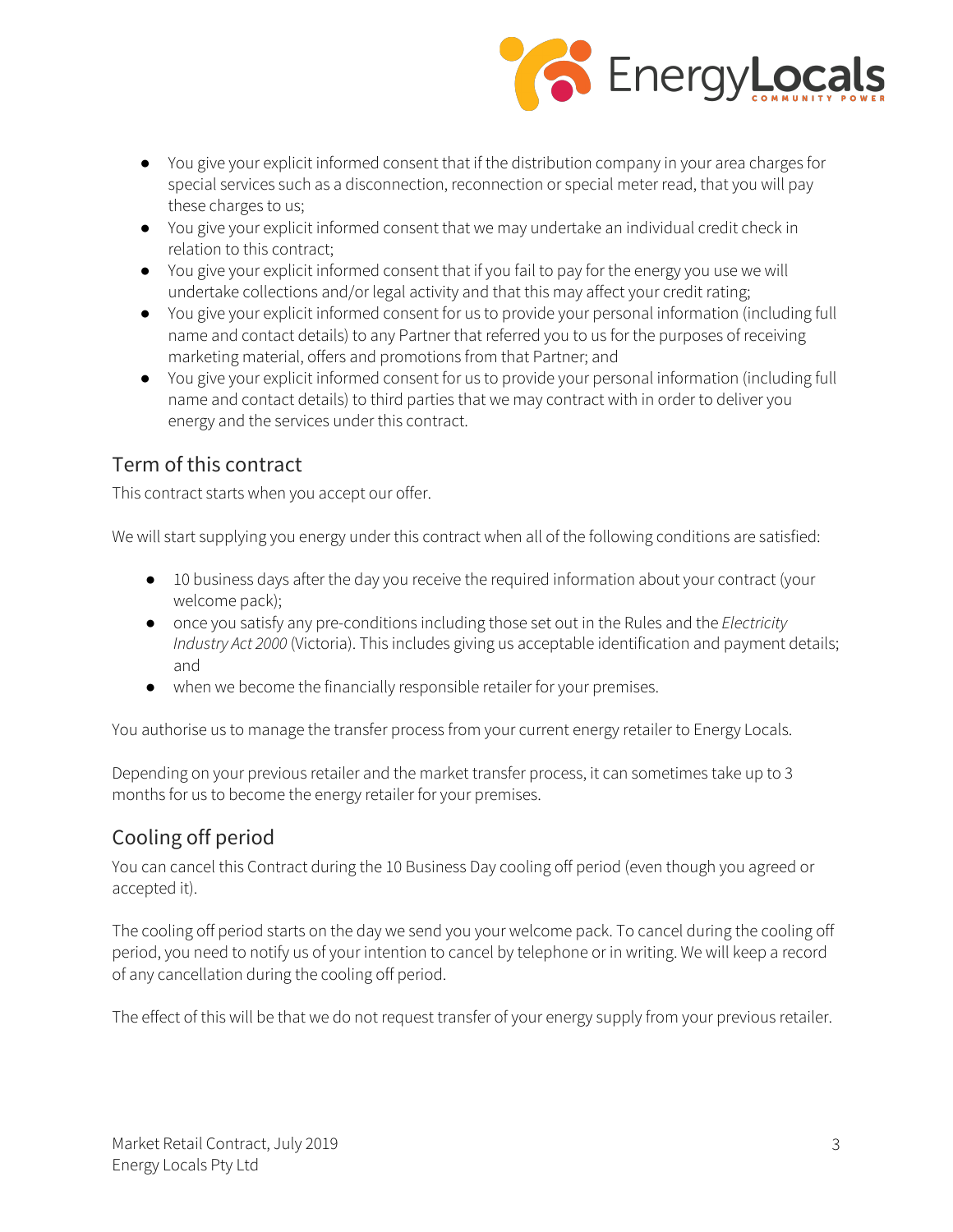

- You give your explicit informed consent that if the distribution company in your area charges for special services such as a disconnection, reconnection or special meter read, that you will pay these charges to us;
- You give your explicit informed consent that we may undertake an individual credit check in relation to this contract;
- You give your explicit informed consent that if you fail to pay for the energy you use we will undertake collections and/or legal activity and that this may affect your credit rating;
- You give your explicit informed consent for us to provide your personal information (including full name and contact details) to any Partner that referred you to us for the purposes of receiving marketing material, offers and promotions from that Partner; and
- You give your explicit informed consent for us to provide your personal information (including full name and contact details) to third parties that we may contract with in order to deliver you energy and the services under this contract.

# Term of this contract

This contract starts when you accept our offer.

We will start supplying you energy under this contract when all of the following conditions are satisfied:

- 10 business days after the day you receive the required information about your contract (your welcome pack);
- once you satisfy any pre-conditions including those set out in the Rules and the *Electricity Industry Act 2000* (Victoria). This includes giving us acceptable identification and payment details; and
- when we become the financially responsible retailer for your premises.

You authorise us to manage the transfer process from your current energy retailer to Energy Locals.

Depending on your previous retailer and the market transfer process, it can sometimes take up to 3 months for us to become the energy retailer for your premises.

# Cooling off period

You can cancel this Contract during the 10 Business Day cooling off period (even though you agreed or accepted it).

The cooling off period starts on the day we send you your welcome pack. To cancel during the cooling off period, you need to notify us of your intention to cancel by telephone or in writing. We will keep a record of any cancellation during the cooling off period.

The effect of this will be that we do not request transfer of your energy supply from your previous retailer.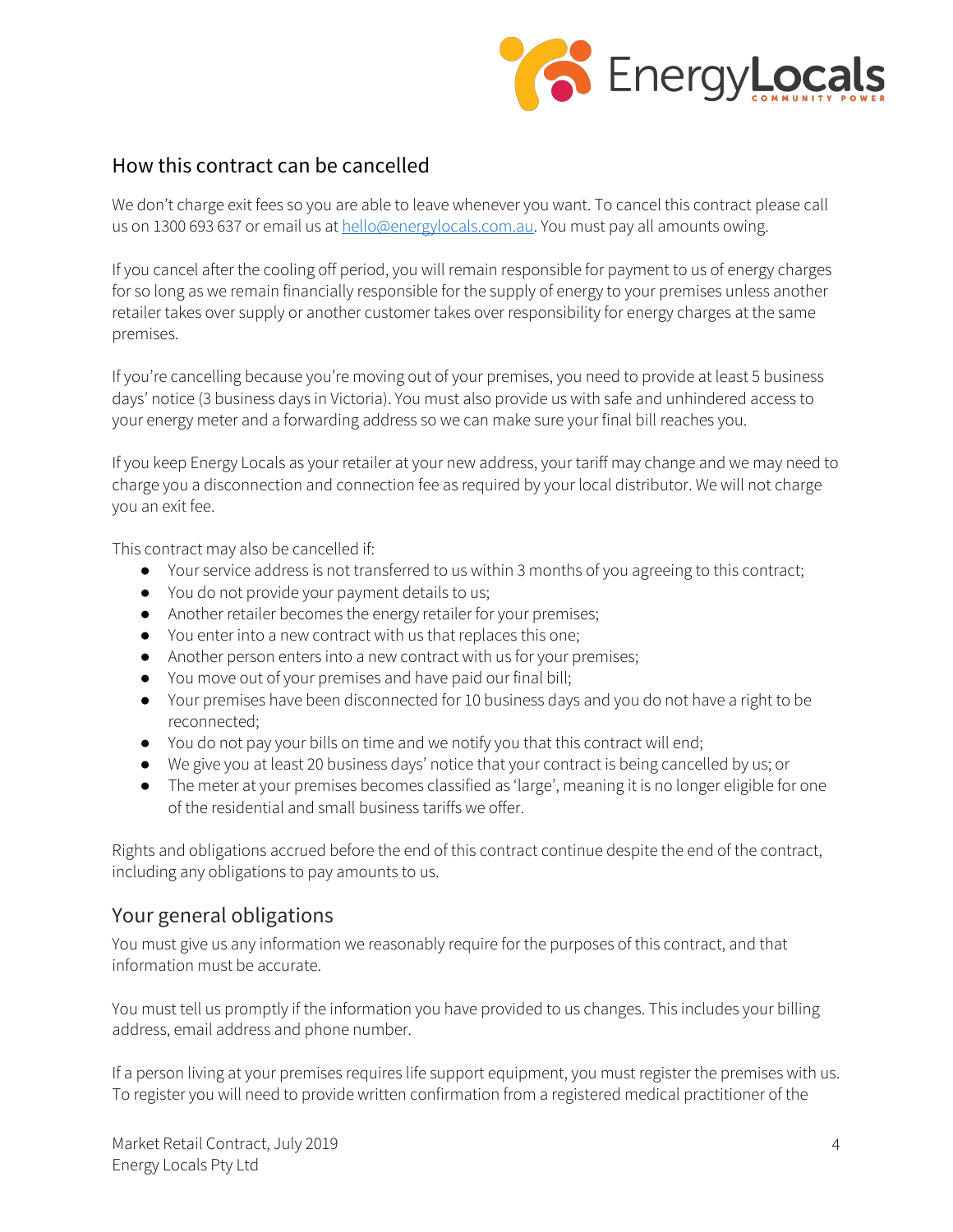

### How this contract can be cancelled

We don't charge exit fees so you are able to leave whenever you want. To cancel this contract please call us on 1300 693 637 or email us at hello@energylocals.com.au. You must pay all amounts owing.

If you cancel after the cooling off period, you will remain responsible for payment to us of energy charges for so long as we remain financially responsible for the supply of energy to your premises unless another retailer takes over supply or another customer takes over responsibility for energy charges at the same premises.

If you're cancelling because you're moving out of your premises, you need to provide at least 5 business days' notice (3 business days in Victoria). You must also provide us with safe and unhindered access to your energy meter and a forwarding address so we can make sure your final bill reaches you.

If you keep Energy Locals as your retailer at your new address, your tariff may change and we may need to charge you a disconnection and connection fee as required by your local distributor. We will not charge you an exit fee.

This contract may also be cancelled if:

- Your service address is not transferred to us within 3 months of you agreeing to this contract;
- You do not provide your payment details to us;
- Another retailer becomes the energy retailer for your premises;
- You enter into a new contract with us that replaces this one;
- Another person enters into a new contract with us for your premises;
- You move out of your premises and have paid our final bill;
- Your premises have been disconnected for 10 business days and you do not have a right to be reconnected;
- You do not pay your bills on time and we notify you that this contract will end;
- We give you at least 20 business days' notice that your contract is being cancelled by us; or
- The meter at your premises becomes classified as 'large', meaning it is no longer eligible for one of the residential and small business tariffs we offer.

Rights and obligations accrued before the end of this contract continue despite the end of the contract, including any obligations to pay amounts to us.

### Your general obligations

You must give us any information we reasonably require for the purposes of this contract, and that information must be accurate.

You must tell us promptly if the information you have provided to us changes. This includes your billing address, email address and phone number.

If a person living at your premises requires life support equipment, you must register the premises with us. To register you will need to provide written confirmation from a registered medical practitioner of the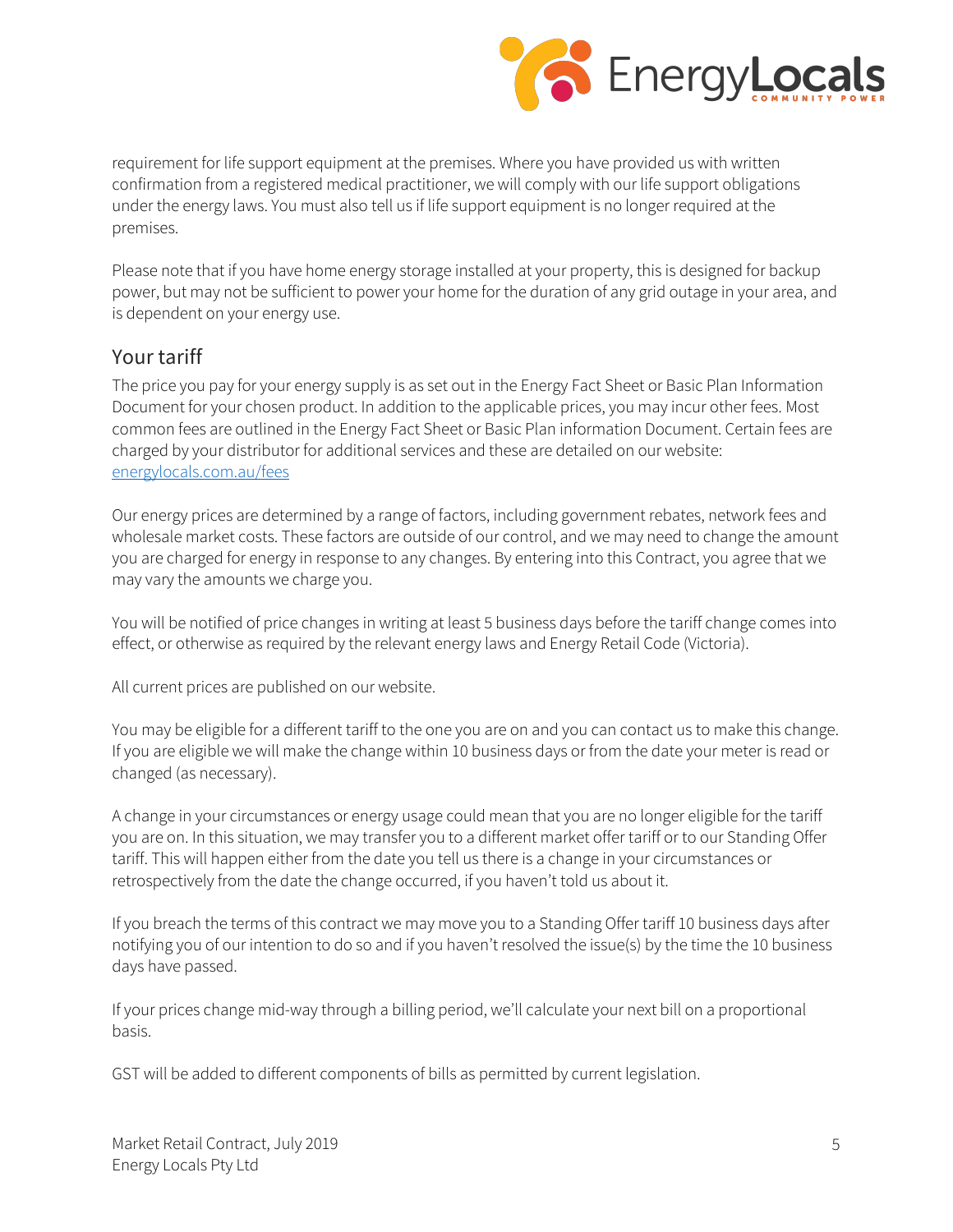

requirement for life support equipment at the premises. Where you have provided us with written confirmation from a registered medical practitioner, we will comply with our life support obligations under the energy laws. You must also tell us if life support equipment is no longer required at the premises.

Please note that if you have home energy storage installed at your property, this is designed for backup power, but may not be sufficient to power your home for the duration of any grid outage in your area, and is dependent on your energy use.

#### Your tariff

The price you pay for your energy supply is as set out in the Energy Fact Sheet or Basic Plan Information Document for your chosen product. In addition to the applicable prices, you may incur other fees. Most common fees are outlined in the Energy Fact Sheet or Basic Plan information Document. Certain fees are charged by your distributor for additional services and these are detailed on our website: energylocals.com.au/fees

Our energy prices are determined by a range of factors, including government rebates, network fees and wholesale market costs. These factors are outside of our control, and we may need to change the amount you are charged for energy in response to any changes. By entering into this Contract, you agree that we may vary the amounts we charge you.

You will be notified of price changes in writing at least 5 business days before the tariff change comes into effect, or otherwise as required by the relevant energy laws and Energy Retail Code (Victoria).

All current prices are published on our website.

You may be eligible for a different tariff to the one you are on and you can contact us to make this change. If you are eligible we will make the change within 10 business days or from the date your meter is read or changed (as necessary).

A change in your circumstances or energy usage could mean that you are no longer eligible for the tariff you are on. In this situation, we may transfer you to a different market offer tariff or to our Standing Offer tariff. This will happen either from the date you tell us there is a change in your circumstances or retrospectively from the date the change occurred, if you haven't told us about it.

If you breach the terms of this contract we may move you to a Standing Offer tariff 10 business days after notifying you of our intention to do so and if you haven't resolved the issue(s) by the time the 10 business days have passed.

If your prices change mid-way through a billing period, we'll calculate your next bill on a proportional basis.

GST will be added to different components of bills as permitted by current legislation.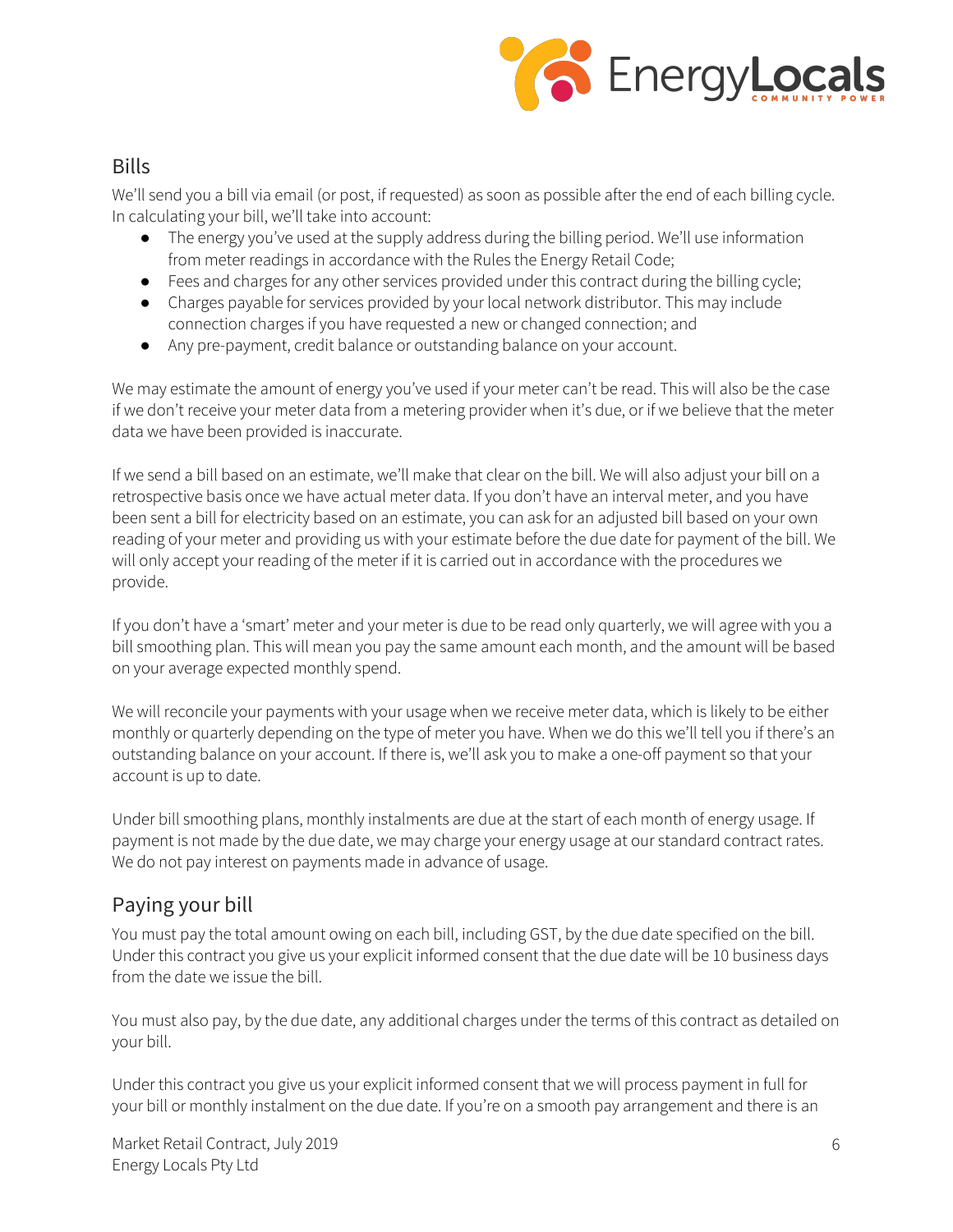

## **Bills**

We'll send you a bill via email (or post, if requested) as soon as possible after the end of each billing cycle. In calculating your bill, we'll take into account:

- The energy you've used at the supply address during the billing period. We'll use information from meter readings in accordance with the Rules the Energy Retail Code;
- Fees and charges for any other services provided under this contract during the billing cycle;
- Charges payable for services provided by your local network distributor. This may include connection charges if you have requested a new or changed connection; and
- Any pre-payment, credit balance or outstanding balance on your account.

We may estimate the amount of energy you've used if your meter can't be read. This will also be the case if we don't receive your meter data from a metering provider when it's due, or if we believe that the meter data we have been provided is inaccurate.

If we send a bill based on an estimate, we'll make that clear on the bill. We will also adjust your bill on a retrospective basis once we have actual meter data. If you don't have an interval meter, and you have been sent a bill for electricity based on an estimate, you can ask for an adjusted bill based on your own reading of your meter and providing us with your estimate before the due date for payment of the bill. We will only accept your reading of the meter if it is carried out in accordance with the procedures we provide.

If you don't have a 'smart' meter and your meter is due to be read only quarterly, we will agree with you a bill smoothing plan. This will mean you pay the same amount each month, and the amount will be based on your average expected monthly spend.

We will reconcile your payments with your usage when we receive meter data, which is likely to be either monthly or quarterly depending on the type of meter you have. When we do this we'll tell you if there's an outstanding balance on your account. If there is, we'll ask you to make a one-off payment so that your account is up to date.

Under bill smoothing plans, monthly instalments are due at the start of each month of energy usage. If payment is not made by the due date, we may charge your energy usage at our standard contract rates. We do not pay interest on payments made in advance of usage.

# Paying your bill

You must pay the total amount owing on each bill, including GST, by the due date specified on the bill. Under this contract you give us your explicit informed consent that the due date will be 10 business days from the date we issue the bill.

You must also pay, by the due date, any additional charges under the terms of this contract as detailed on your bill.

Under this contract you give us your explicit informed consent that we will process payment in full for your bill or monthly instalment on the due date. If you're on a smooth pay arrangement and there is an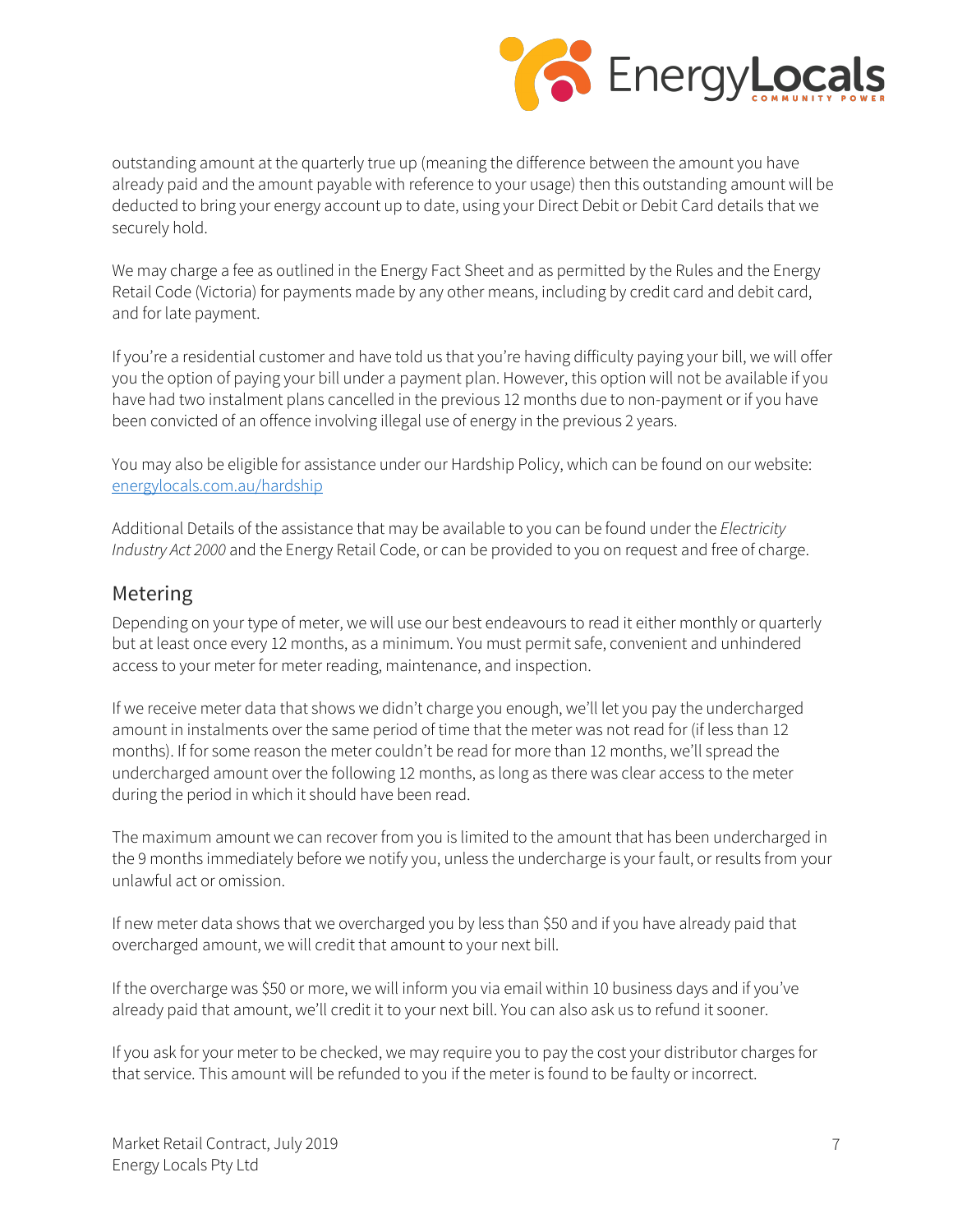

outstanding amount at the quarterly true up (meaning the difference between the amount you have already paid and the amount payable with reference to your usage) then this outstanding amount will be deducted to bring your energy account up to date, using your Direct Debit or Debit Card details that we securely hold.

We may charge a fee as outlined in the Energy Fact Sheet and as permitted by the Rules and the Energy Retail Code (Victoria) for payments made by any other means, including by credit card and debit card, and for late payment.

If you're a residential customer and have told us that you're having difficulty paying your bill, we will offer you the option of paying your bill under a payment plan. However, this option will not be available if you have had two instalment plans cancelled in the previous 12 months due to non-payment or if you have been convicted of an offence involving illegal use of energy in the previous 2 years.

You may also be eligible for assistance under our Hardship Policy, which can be found on our website: energylocals.com.au/hardship

Additional Details of the assistance that may be available to you can be found under the *Electricity Industry Act 2000* and the Energy Retail Code, or can be provided to you on request and free of charge.

#### Metering

Depending on your type of meter, we will use our best endeavours to read it either monthly or quarterly but at least once every 12 months, as a minimum. You must permit safe, convenient and unhindered access to your meter for meter reading, maintenance, and inspection.

If we receive meter data that shows we didn't charge you enough, we'll let you pay the undercharged amount in instalments over the same period of time that the meter was not read for (if less than 12 months). If for some reason the meter couldn't be read for more than 12 months, we'll spread the undercharged amount over the following 12 months, as long as there was clear access to the meter during the period in which it should have been read.

The maximum amount we can recover from you is limited to the amount that has been undercharged in the 9 months immediately before we notify you, unless the undercharge is your fault, or results from your unlawful act or omission.

If new meter data shows that we overcharged you by less than \$50 and if you have already paid that overcharged amount, we will credit that amount to your next bill.

If the overcharge was \$50 or more, we will inform you via email within 10 business days and if you've already paid that amount, we'll credit it to your next bill. You can also ask us to refund it sooner.

If you ask for your meter to be checked, we may require you to pay the cost your distributor charges for that service. This amount will be refunded to you if the meter is found to be faulty or incorrect.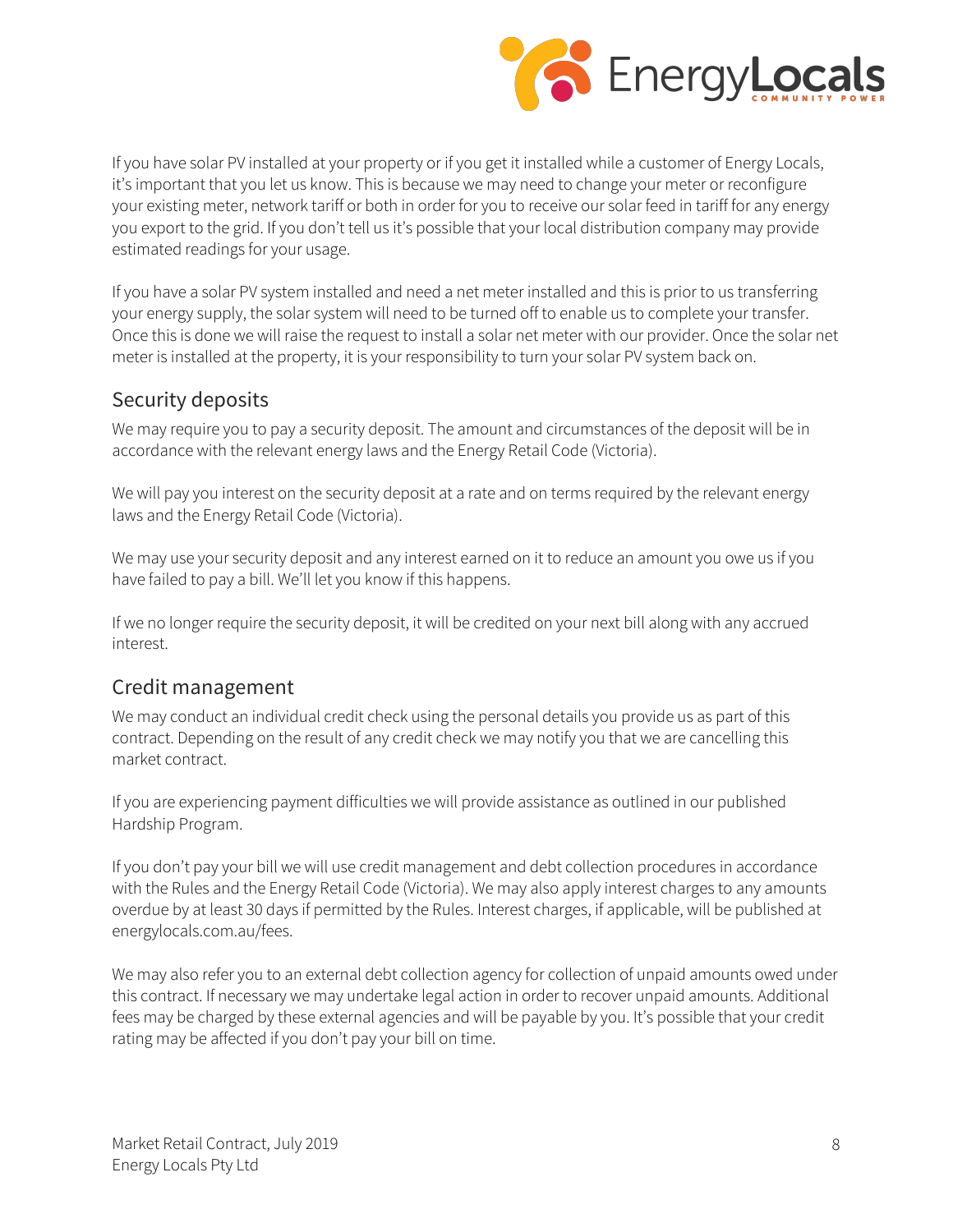

If you have solar PV installed at your property or if you get it installed while a customer of Energy Locals, it's important that you let us know. This is because we may need to change your meter or reconfigure your existing meter, network tariff or both in order for you to receive our solar feed in tariff for any energy you export to the grid. If you don't tell us it's possible that your local distribution company may provide estimated readings for your usage.

If you have a solar PV system installed and need a net meter installed and this is prior to us transferring your energy supply, the solar system will need to be turned off to enable us to complete your transfer. Once this is done we will raise the request to install a solar net meter with our provider. Once the solar net meter is installed at the property, it is your responsibility to turn your solar PV system back on.

### Security deposits

We may require you to pay a security deposit. The amount and circumstances of the deposit will be in accordance with the relevant energy laws and the Energy Retail Code (Victoria).

We will pay you interest on the security deposit at a rate and on terms required by the relevant energy laws and the Energy Retail Code (Victoria).

We may use your security deposit and any interest earned on it to reduce an amount you owe us if you have failed to pay a bill. We'll let you know if this happens.

If we no longer require the security deposit, it will be credited on your next bill along with any accrued interest.

### Credit management

We may conduct an individual credit check using the personal details you provide us as part of this contract. Depending on the result of any credit check we may notify you that we are cancelling this market contract.

If you are experiencing payment difficulties we will provide assistance as outlined in our published Hardship Program.

If you don't pay your bill we will use credit management and debt collection procedures in accordance with the Rules and the Energy Retail Code (Victoria). We may also apply interest charges to any amounts overdue by at least 30 days if permitted by the Rules. Interest charges, if applicable, will be published at energylocals.com.au/fees.

We may also refer you to an external debt collection agency for collection of unpaid amounts owed under this contract. If necessary we may undertake legal action in order to recover unpaid amounts. Additional fees may be charged by these external agencies and will be payable by you. It's possible that your credit rating may be affected if you don't pay your bill on time.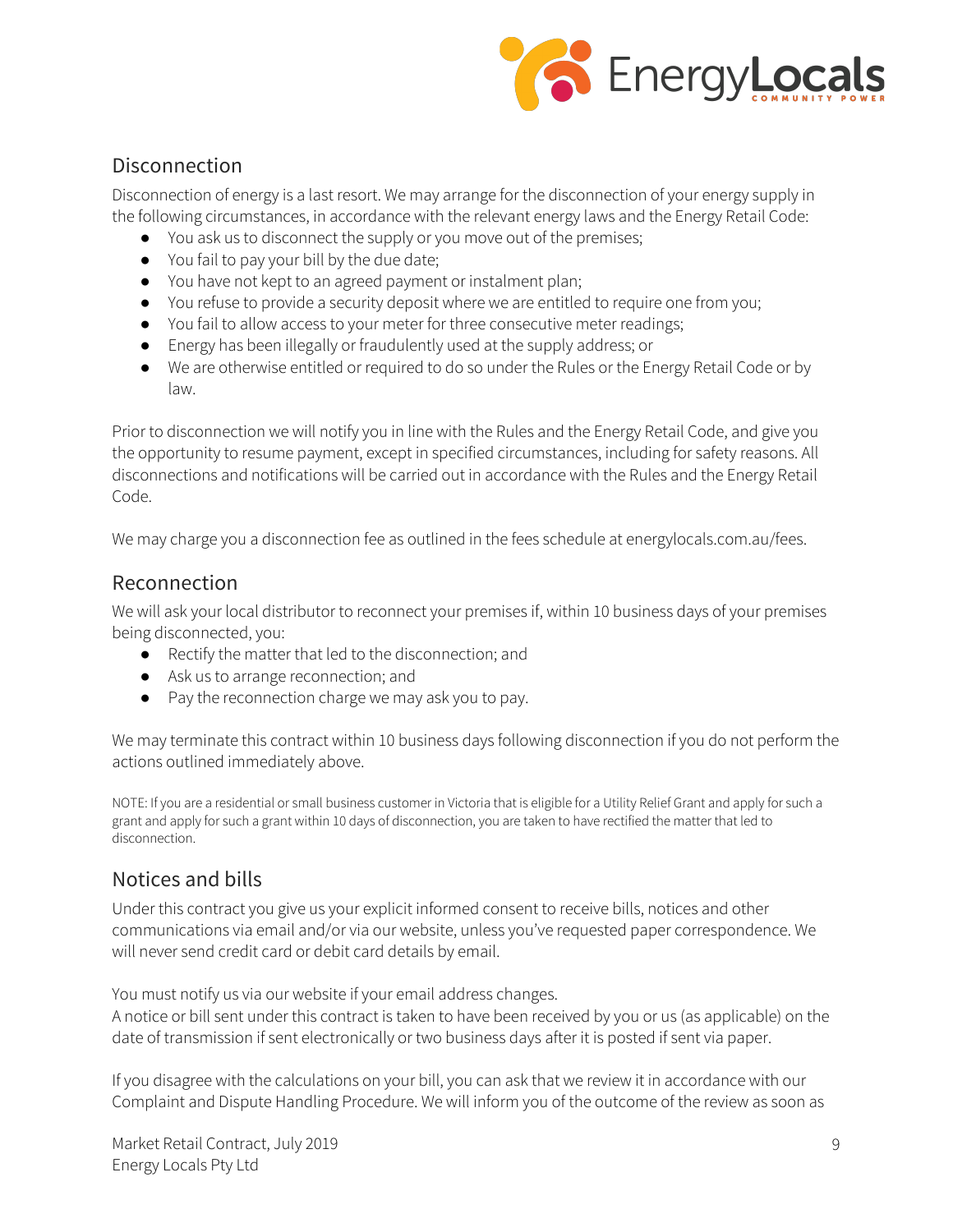

## **Disconnection**

Disconnection of energy is a last resort. We may arrange for the disconnection of your energy supply in the following circumstances, in accordance with the relevant energy laws and the Energy Retail Code:

- You ask us to disconnect the supply or you move out of the premises;
- You fail to pay your bill by the due date;
- You have not kept to an agreed payment or instalment plan;
- You refuse to provide a security deposit where we are entitled to require one from you;
- You fail to allow access to your meter for three consecutive meter readings;
- Energy has been illegally or fraudulently used at the supply address; or
- We are otherwise entitled or required to do so under the Rules or the Energy Retail Code or by law.

Prior to disconnection we will notify you in line with the Rules and the Energy Retail Code, and give you the opportunity to resume payment, except in specified circumstances, including for safety reasons. All disconnections and notifications will be carried out in accordance with the Rules and the Energy Retail Code.

We may charge you a disconnection fee as outlined in the fees schedule at energylocals.com.au/fees.

#### Reconnection

We will ask your local distributor to reconnect your premises if, within 10 business days of your premises being disconnected, you:

- Rectify the matter that led to the disconnection; and
- Ask us to arrange reconnection; and
- Pay the reconnection charge we may ask you to pay.

We may terminate this contract within 10 business days following disconnection if you do not perform the actions outlined immediately above.

NOTE: If you are a residential or small business customer in Victoria that is eligible for a Utility Relief Grant and apply for such a grant and apply for such a grant within 10 days of disconnection, you are taken to have rectified the matter that led to disconnection.

# Notices and bills

Under this contract you give us your explicit informed consent to receive bills, notices and other communications via email and/or via our website, unless you've requested paper correspondence. We will never send credit card or debit card details by email.

You must notify us via our website if your email address changes.

A notice or bill sent under this contract is taken to have been received by you or us (as applicable) on the date of transmission if sent electronically or two business days after it is posted if sent via paper.

If you disagree with the calculations on your bill, you can ask that we review it in accordance with our Complaint and Dispute Handling Procedure. We will inform you of the outcome of the review as soon as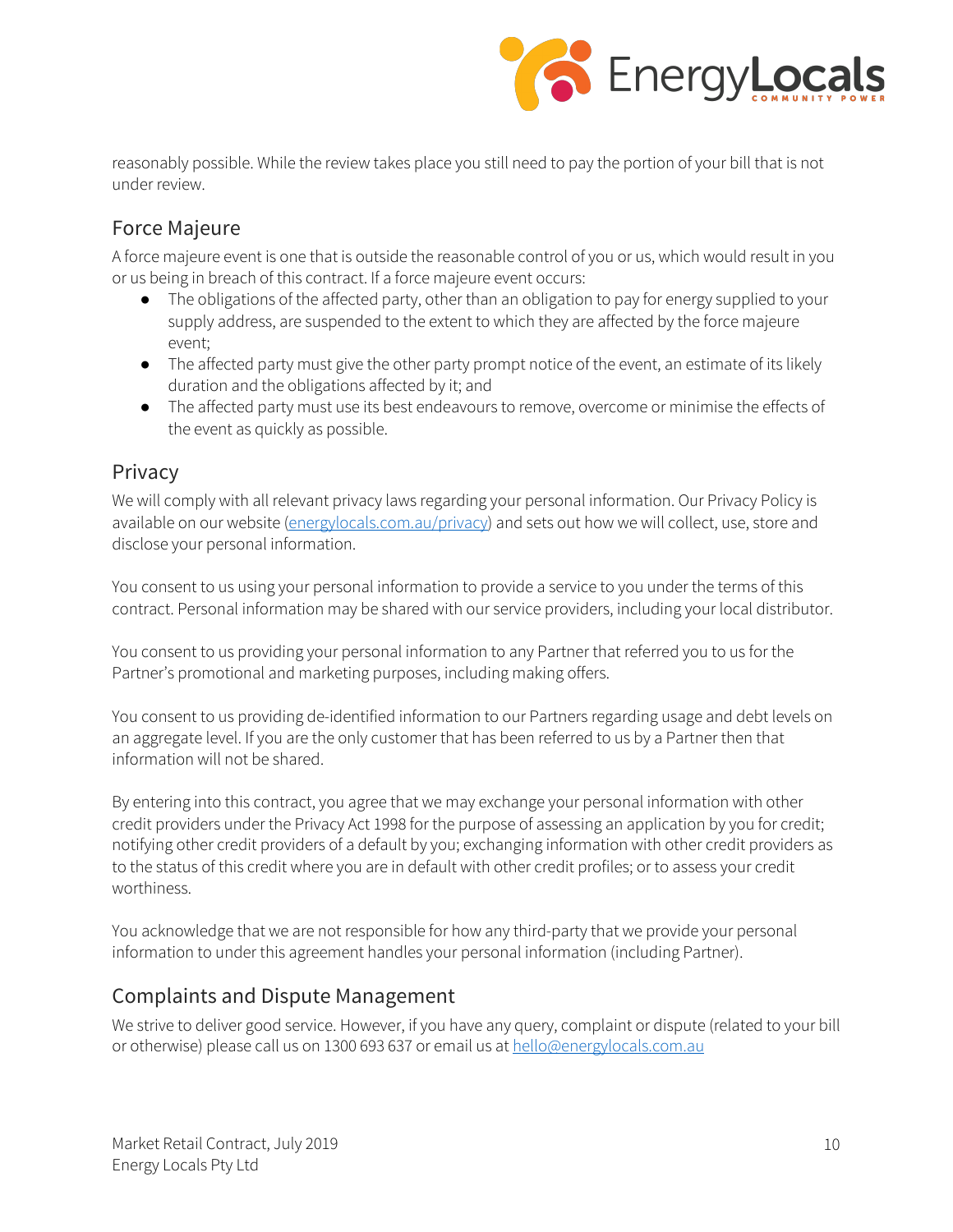

reasonably possible. While the review takes place you still need to pay the portion of your bill that is not under review.

### Force Majeure

A force majeure event is one that is outside the reasonable control of you or us, which would result in you or us being in breach of this contract. If a force majeure event occurs:

- The obligations of the affected party, other than an obligation to pay for energy supplied to your supply address, are suspended to the extent to which they are affected by the force majeure event;
- The affected party must give the other party prompt notice of the event, an estimate of its likely duration and the obligations affected by it; and
- The affected party must use its best endeavours to remove, overcome or minimise the effects of the event as quickly as possible.

#### Privacy

We will comply with all relevant privacy laws regarding your personal information. Our Privacy Policy is available on our website (energylocals.com.au/privacy) and sets out how we will collect, use, store and disclose your personal information.

You consent to us using your personal information to provide a service to you under the terms of this contract. Personal information may be shared with our service providers, including your local distributor.

You consent to us providing your personal information to any Partner that referred you to us for the Partner's promotional and marketing purposes, including making offers.

You consent to us providing de-identified information to our Partners regarding usage and debt levels on an aggregate level. If you are the only customer that has been referred to us by a Partner then that information will not be shared.

By entering into this contract, you agree that we may exchange your personal information with other credit providers under the Privacy Act 1998 for the purpose of assessing an application by you for credit; notifying other credit providers of a default by you; exchanging information with other credit providers as to the status of this credit where you are in default with other credit profiles; or to assess your credit worthiness.

You acknowledge that we are not responsible for how any third-party that we provide your personal information to under this agreement handles your personal information (including Partner).

## Complaints and Dispute Management

We strive to deliver good service. However, if you have any query, complaint or dispute (related to your bill or otherwise) please call us on 1300 693 637 or email us at hello@energylocals.com.au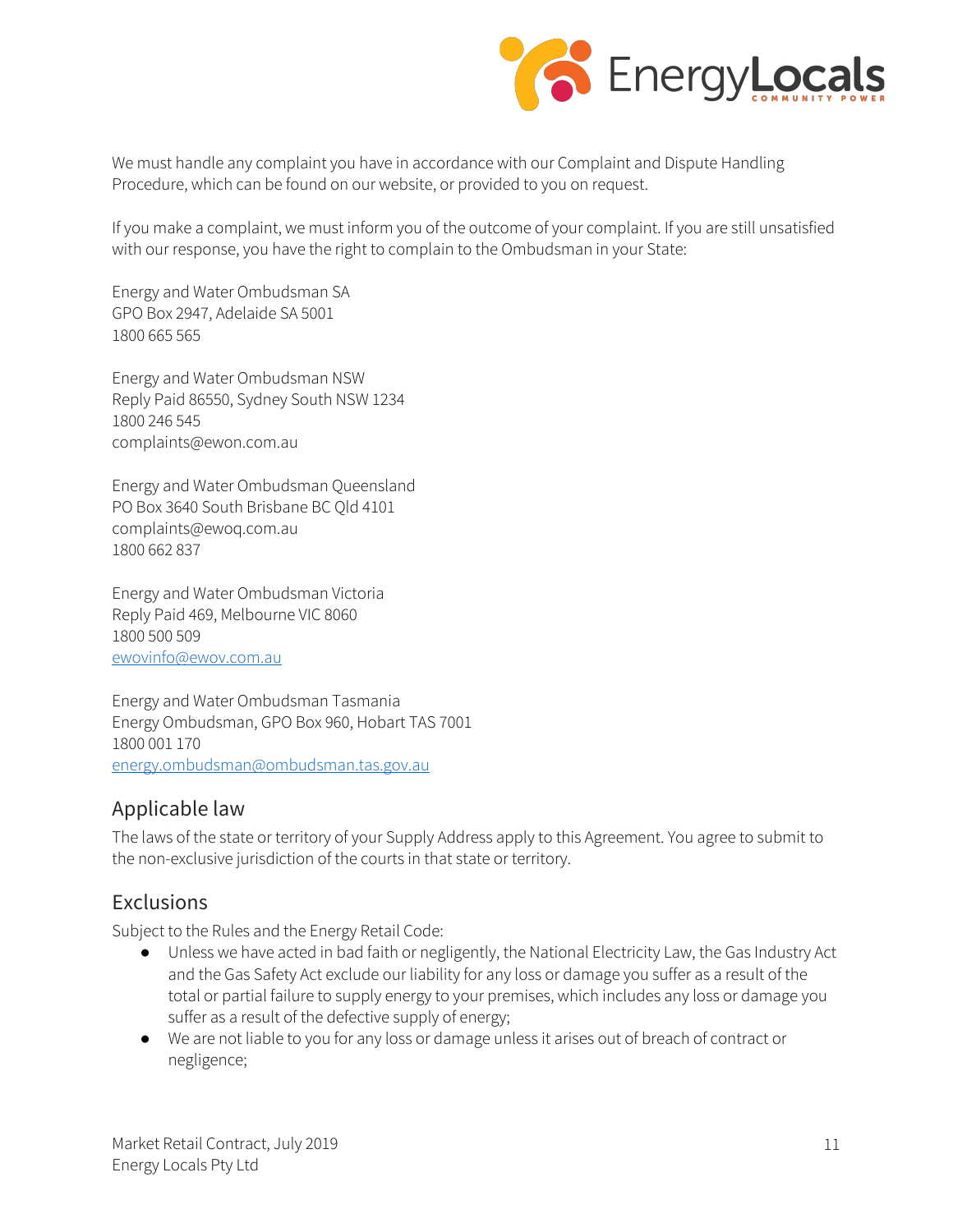

We must handle any complaint you have in accordance with our Complaint and Dispute Handling Procedure, which can be found on our website, or provided to you on request.

If you make a complaint, we must inform you of the outcome of your complaint. If you are still unsatisfied with our response, you have the right to complain to the Ombudsman in your State:

Energy and Water Ombudsman SA GPO Box 2947, Adelaide SA 5001 1800 665 565

Energy and Water Ombudsman NSW Reply Paid 86550, Sydney South NSW 1234 1800 246 545 complaints@ewon.com.au

Energy and Water Ombudsman Queensland PO Box 3640 South Brisbane BC Qld 4101 complaints@ewoq.com.au 1800 662 837

Energy and Water Ombudsman Victoria Reply Paid 469, Melbourne VIC 8060 1800 500 509 ewovinfo@ewov.com.au

Energy and Water Ombudsman Tasmania Energy Ombudsman, GPO Box 960, Hobart TAS 7001 1800 001 170 energy.ombudsman@ombudsman.tas.gov.au

### Applicable law

The laws of the state or territory of your Supply Address apply to this Agreement. You agree to submit to the non-exclusive jurisdiction of the courts in that state or territory.

## **Exclusions**

Subject to the Rules and the Energy Retail Code:

- Unless we have acted in bad faith or negligently, the National Electricity Law, the Gas Industry Act and the Gas Safety Act exclude our liability for any loss or damage you suffer as a result of the total or partial failure to supply energy to your premises, which includes any loss or damage you suffer as a result of the defective supply of energy;
- We are not liable to you for any loss or damage unless it arises out of breach of contract or negligence;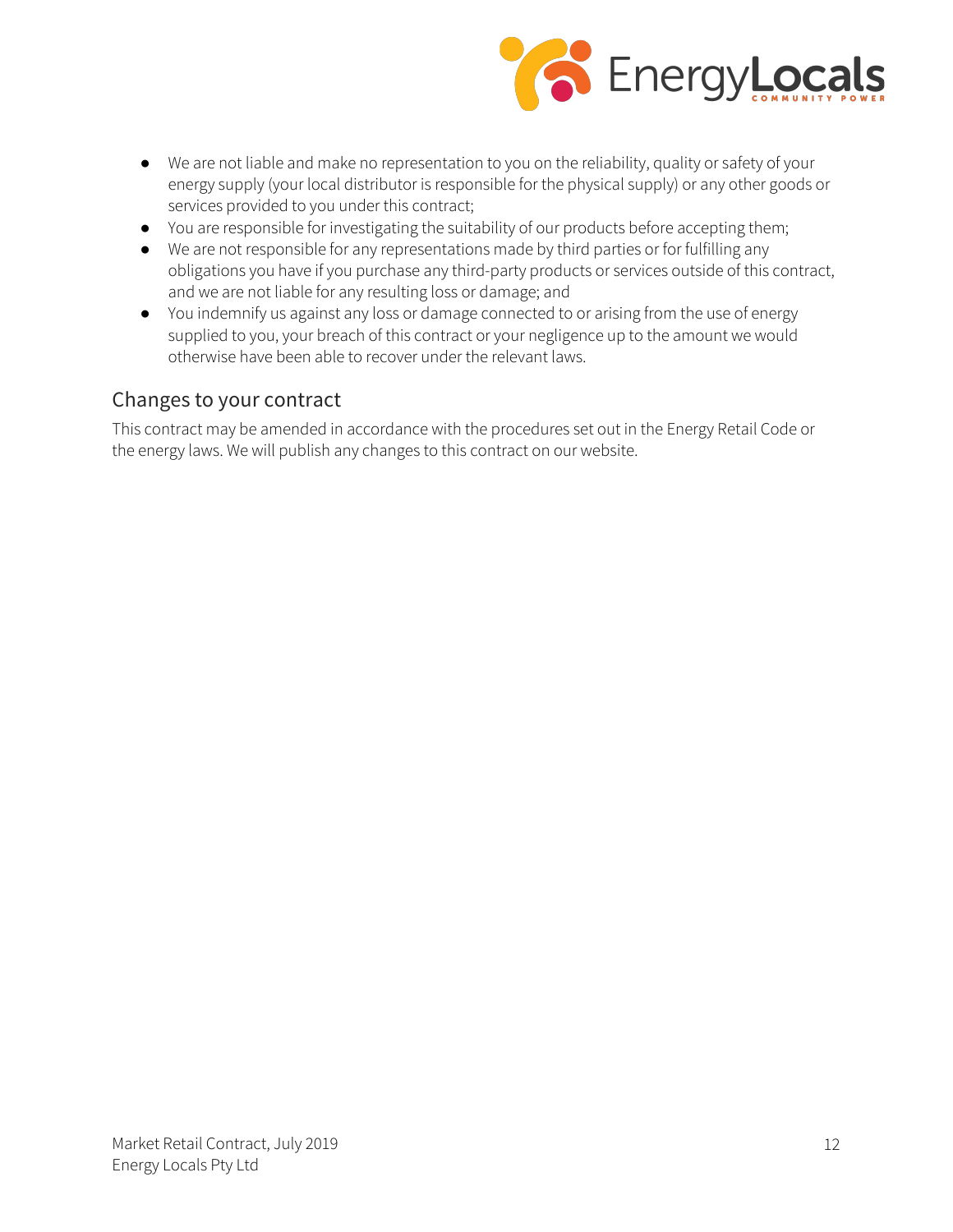

- We are not liable and make no representation to you on the reliability, quality or safety of your energy supply (your local distributor is responsible for the physical supply) or any other goods or services provided to you under this contract;
- You are responsible for investigating the suitability of our products before accepting them;
- We are not responsible for any representations made by third parties or for fulfilling any obligations you have if you purchase any third-party products or services outside of this contract, and we are not liable for any resulting loss or damage; and
- You indemnify us against any loss or damage connected to or arising from the use of energy supplied to you, your breach of this contract or your negligence up to the amount we would otherwise have been able to recover under the relevant laws.

### Changes to your contract

This contract may be amended in accordance with the procedures set out in the Energy Retail Code or the energy laws. We will publish any changes to this contract on our website.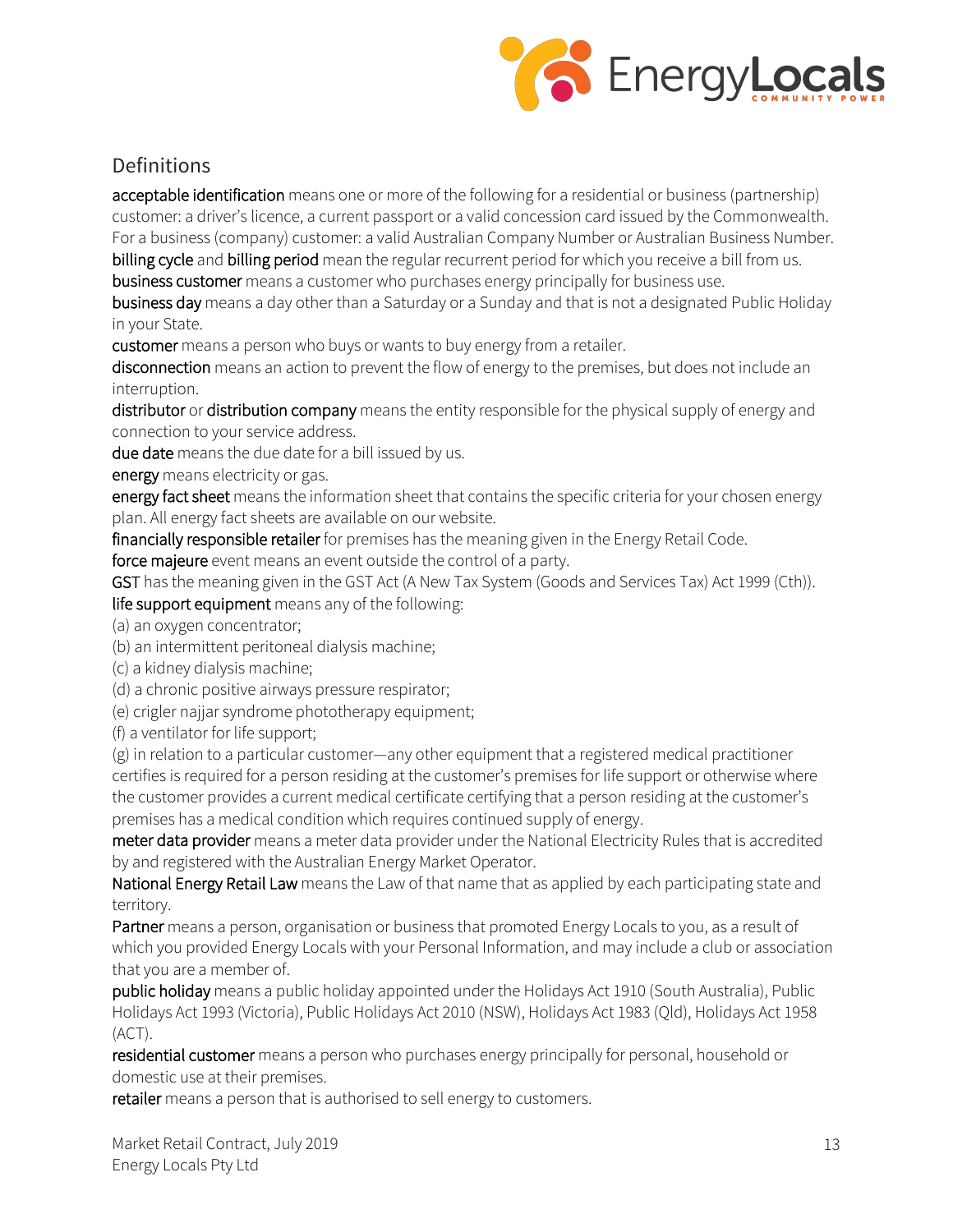

### Definitions

acceptable identification means one or more of the following for a residential or business (partnership) customer: a driver's licence, a current passport or a valid concession card issued by the Commonwealth. For a business (company) customer: a valid Australian Company Number or Australian Business Number. billing cycle and billing period mean the regular recurrent period for which you receive a bill from us.

business customer means a customer who purchases energy principally for business use.

business day means a day other than a Saturday or a Sunday and that is not a designated Public Holiday in your State.

customer means a person who buys or wants to buy energy from a retailer.

disconnection means an action to prevent the flow of energy to the premises, but does not include an interruption.

distributor or distribution company means the entity responsible for the physical supply of energy and connection to your service address.

due date means the due date for a bill issued by us.

energy means electricity or gas.

energy fact sheet means the information sheet that contains the specific criteria for your chosen energy plan. All energy fact sheets are available on our website.

financially responsible retailer for premises has the meaning given in the Energy Retail Code.

force majeure event means an event outside the control of a party.

GST has the meaning given in the GST Act (A New Tax System (Goods and Services Tax) Act 1999 (Cth)).

life support equipment means any of the following:

(a) an oxygen concentrator;

(b) an intermittent peritoneal dialysis machine;

(c) a kidney dialysis machine;

(d) a chronic positive airways pressure respirator;

(e) crigler najjar syndrome phototherapy equipment;

(f) a ventilator for life support;

(g) in relation to a particular customer—any other equipment that a registered medical practitioner certifies is required for a person residing at the customer's premises for life support or otherwise where the customer provides a current medical certificate certifying that a person residing at the customer's premises has a medical condition which requires continued supply of energy.

meter data provider means a meter data provider under the National Electricity Rules that is accredited by and registered with the Australian Energy Market Operator.

National Energy Retail Law means the Law of that name that as applied by each participating state and territory.

Partner means a person, organisation or business that promoted Energy Locals to you, as a result of which you provided Energy Locals with your Personal Information, and may include a club or association that you are a member of.

public holiday means a public holiday appointed under the Holidays Act 1910 (South Australia), Public Holidays Act 1993 (Victoria), Public Holidays Act 2010 (NSW), Holidays Act 1983 (Qld), Holidays Act 1958 (ACT).

residential customer means a person who purchases energy principally for personal, household or domestic use at their premises.

retailer means a person that is authorised to sell energy to customers.